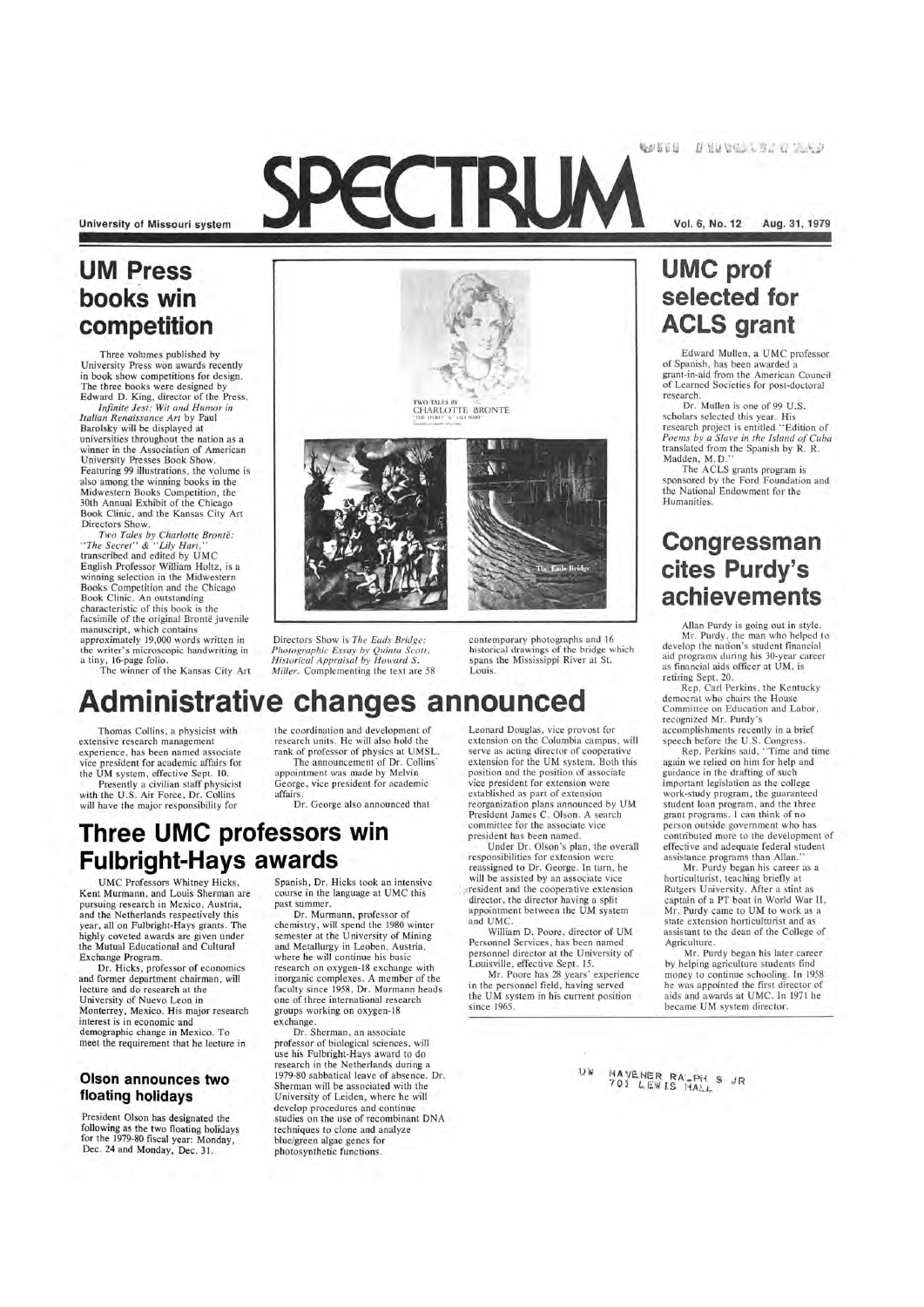42500 INSTEAD OF A

**University of Missouri system** 

## **UM Press books win competition**

Three volumes published by University Press won awards recently in book show competitions for design. The three books were designed by Edward D. King, director of the Press.

*Infinite Jest: Wit and Humor in Italian Renaissance Art* by Paul Barolsky will be displayed at universities throughout the nation as a winner in the Association of American University Presses Book Show. Featuring 99 illustrations, the volume is also among the winning books in the Midwestern Books Competition, the 30th Annual Exhibit of the Chicago Book Clinic, and the Kansas City Art Directors Show.

> contemporary photographs and 16 historical drawings of the bridge which spans the Mississippi River at St.

Pla Ead- Bridge

*Two TaLes by Charlotte Bronte : "The Secret "* & *"Lily Hart,"*  transcribed and edited by UMC English Professor William Holtz, is a winning selection in the Midwestern Books Competition and the Chicago Book Clinic. An outstanding characteristic of this book is the facsimile of the original Brontë juvenile manuscript, which contains approximately 19,000 words written in the writer's microscopic handwriting in a tiny, 16-page folio.

The winner of the Kansas City Art



Directors Show is *The Eads Bridge: Photographic Essay by Quinta Scott, HistoricaL Appraisal by Howard S. Miller.* Complementing the text are 58

Spanish, Dr. Hicks took an intensive course in the language at UMC this past summer.

Louis.

Thomas Collins, a physicist with

Dr. Murmann, professor of chemistry, will spend the 1980 winter semester at the University of Mining and Metallurgy in Leoben, Austria, where he will continue his basic

extensive research management experience, has been named associate vice president for academic affairs for the UM system, effective Sept. 10. Presently a civilian staff physicist with the U.S. Air Force, Dr. Collins will have the major responsibility for

**Administrative changes announced**  the coordination and development of research units. He will also hold the

Leonard Douglas, vice provost for extension on the Columbia campus, will serve as acting director of cooperative extension for the UM system. Both this position and the position of associate vice president for extension were established as part of extension reorganization plans announced by UM President James C. Olson. A search committee for the associate vice president has been named.

rank of professor of physics at UMSL The announcement of Dr. Collins' appointment was made by Melvin George, vice president for academic affairs.

Dr. George also announced that

### **Three UMC professors win Fulbright-Hays awards**

Under Dr. Olson's plan, the overall responsibilities for extension were reassigned to Dr. George. In turn, he will be assisted by an associate vice  $r$  resident and the cooperative extension director, the director having a split appointment between the UM system and UMC.

William D. Poore, director of UM Personnel Services, has been named personnel director at the University of

UMC Professors Whitney Hicks, Kent Murmann , and Louis Sherman are pursuing research in Mexico, Austria, and the Netherlands respectively this year, all on Fulbright-Hays grants. The highly coveted awards are given under the Mutual Educational and Cultural Exchange Program.

Edward Mullen, a UMC professor of Spanish, has been awarded a grant-in-aid from the American Council of Learned Societies for post-doctoral research.

Dr. Hicks, professor of economics and former department chairman, will lecture and do research at the University of Nuevo Leon in Monterrey, Mexico. His major research interest is in economic and demographic change in Mexico. To meet the requirement that he lecture in

#### **Olson announces two floating holidays**

President Olson has designated the following as the two floating holidays for the 1979-80 fiscal year: Monday , Dec. 24 and Monday, Dec. 31.

research on oxygen-18 exchange with inorganic complexes. A member of the faculty since 1958, Dr. Murmann heads one of three international research groups working on oxygen-18 exchange.

by helping agriculture students find money to continue schooling. In 1958 he was appointed the first director of aids and awards at UMC . In 1971 he became UM system director.

MAYENER RA PH S JR<br>701 LEWIS MALL

Dr. Sherman, an associate professor of biological sciences, will use his Fulbright-Hays award to do research in the Netherlands during a 1979-80 sabbatical leave of absence. Dr. Sherman will be associated with the University of Leiden, where he will develop procedures and continue studies on the use of recombinant DNA techniques to clone and analyze blue/green algae genes for photosynthetic functions.

Louisville, effective Sept. 15.

Mr. Poore has 28 years' experience in the personnel field, having served the UM system in his current position since 1965.

 $U \times$ 

**Vol. 6, No. 12** Aug. 31, **1979** 

## **UMC prof selected for ACLS grant**

Dr. Mullen is one of 99 U.S. scholars selected this year. His research project is entitled "Edition of *Poems by a Slave in the Island of Cuba*  translated from the Spanish by R. R. Madden, M.D."

The ACLS grants program is sponsored by the Ford Foundation and the National Endowment for the Humanities.

### **Congressman cites Purdy's achievements**

Allan Purdy is going out in style. Mr. Purdy, the man who helped to develop the nation's student financial aid programs during his 30-year career as financial aids officer at UM, is retiring Sept. 20.

Rep. Carl Perkins, the Kentucky democrat who chairs the House Committee on Education and Labor, recognized Mr. Purdy's accomplishments recently in a brief speech before the U.S. Congress.

Rep. Perkins said, "Time and time again we relied on him for help and guidance in the drafting of such important legislation as the college work-study program, the guaranteed student loan program, and the three grant programs. I can think of no person outside government who has contributed more to the development of effective and adequate federal student assistance programs than Allan.'

Mr. Purdy began his career as a horticulturist, teaching briefly at Rutgers University. After a stint as captain of a PT boat in World War II, Mr. Purdy came to UM to work as a state extension horticulturist and as assistant to the dean of the College of Agriculture.

Mr. Purdy began his later career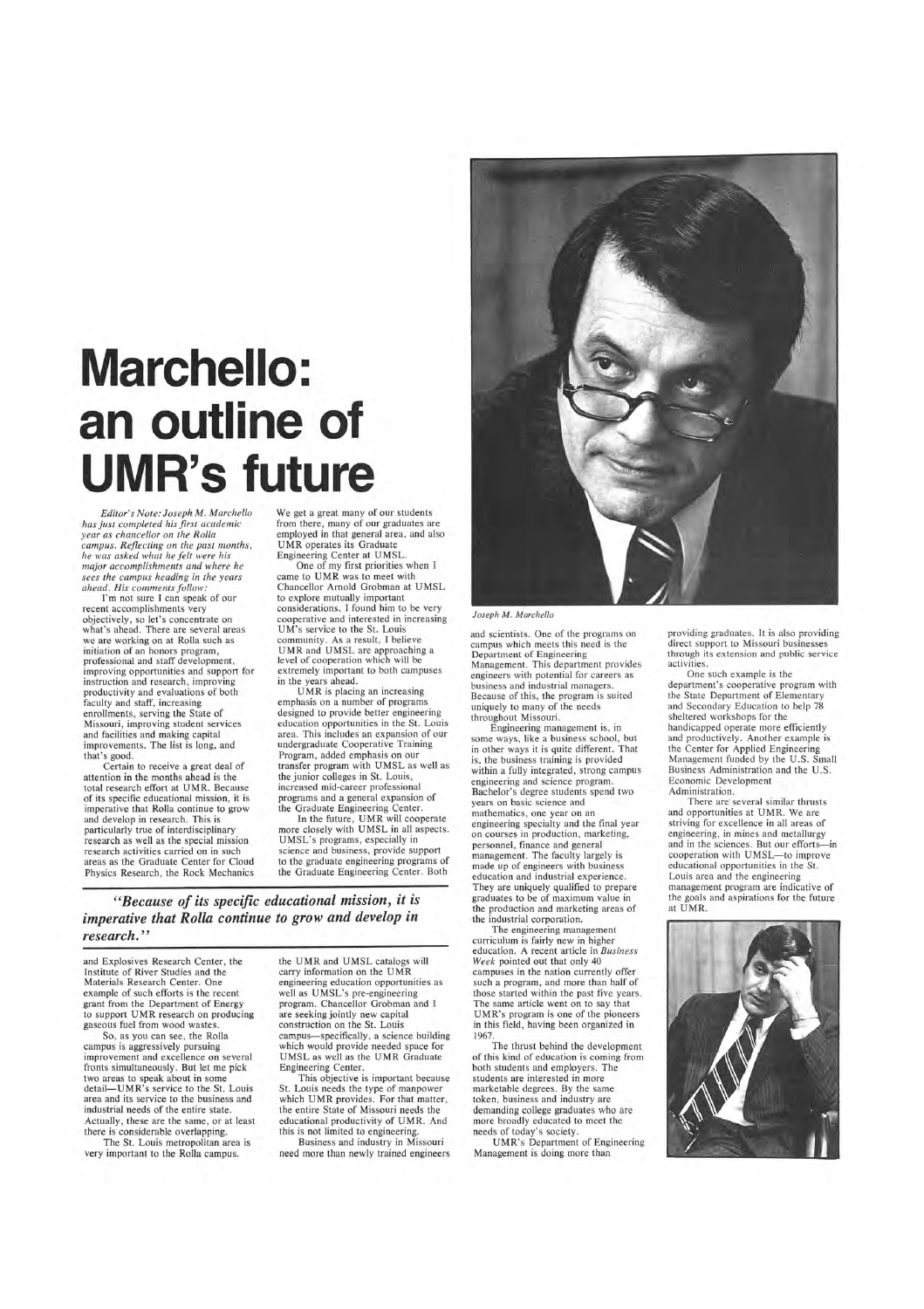# **Marchello: an outline of UMR's future**

*Editor's Note: Joseph M. Marchello has just completed his first academic year as chancellor on the Rolla campus. Reflecting on the past months, he was asked what he felt were his major accomplishments and where he sees the campus heading in the years ahead. His comments follow:* 

I'm not sure I can speak of our recent accomplishments very objectively, so let's concentrate on what's ahead. There are several areas we are working on at Rolla such as initiation of an honors program, professional and staff development, improving opportunities and support for instruction and research, improving productivity and evaluations of both faculty and staff, increasing enrollments, serving the State of Missouri, improving student services and facilities and making capital improvements. The list is long, and that's good.

Certain to receive a great deal of attention in the months ahead is the total research effort at UMR. Because of its specific educational mission, it is imperative that Rolla continue to grow and develop in research. This is particularly true of interdisciplinary research as well as the special mission research activities carried on in such areas as the Graduate Center for Cloud Physics Research, the Rock Mechanics

UMR is placing an increasing emphasis on a number of programs designed to provide better engineering education opportunities in the St. Louis area. This includes an expansion of our undergraduate Cooperative Training Program, added emphasis on our transfer program with UMSL as well as the junior colleges in St. Louis, increased mid-career professional programs and a general expansion of the Graduate Engineering Center.

In the future, UMR will cooperate more closely with UMSL in all aspects. UMSL's programs, especially in science and business, provide support to the graduate engineering programs of the Graduate Engineering Center. Both

We get a great many of our students from there, many of our graduates are employed in that general area, and also UMR operates its Graduate Engineering Center at UMSL.

One of my first priorities when I came to UMR was to meet with Chancellor Arnold Grobman at UMSL to explore mutually important considerations. I found him to be very cooperative and interested in increasing UM's service to the St. Louis community. As a result, I believe UMR and UMSL are approaching a level of cooperation which will be extremely important to both campuses in the years ahead.

> The engineering management curriculum is fairly new in higher education. A recent article in *Business Week* pointed out that only 4

*"Because of its specific educational mission, it is imperative that Rolla continue to grow and develop in research. "* 

and Explosives Research Center, the Institute of River Studies and the Materials Research Center. One example of such efforts is the recent grant from the Department of Energy to support UMR research on producing gaseous fuel from wood wastes.

So, as you can see, the Rolla campus is aggressively pursuing improvement and excellence on several fronts simultaneously. But let me pick two areas to speak about in some detail-UMR's service to the St. Louis area and its service to the business and industrial needs of the entire state. Actually, these are the same, or at least there is considerable overlapping.

The St. Louis metropolitan area is very important to the Rolla campus.

the UMR and UMSL catalogs will carry information on the UMR engineering education opportunities as well as UMSL's pre-engineering program. Chancellor Grobman and I are seeking jointly new capital construction on the St. Louis campus-specifically, a science building which would provide needed space for UMSL as well as the UMR Graduate Engineering Center.



This objective is important because St. Louis needs the type of manpower which UMR provides. For that matter, the entire State of Missouri needs the educational productivity of UMR. And this is not limited to engineering.

Business and industry in Missouri need more than newly trained engineers

#### *Joseph M . Marchello*

and scientists. One of the programs on campus which meets this need is the Department of Engineering Management. This department provides engineers with potential for careers as business and industrial managers. Because of this, the program is suited uniquely to many of the needs throughout Missouri.

Engineering management is, in some ways, like a business school, but in other ways it is quite different. That is, the business training is provided within a fully integrated, strong campus engineering and science program. Bachelor's degree students spend two years on basic science and mathematics, one year on an engineering specialty and the final year on courses in production, marketing, personnel, finance and general management. The faculty largely is made up of engineers with business education and industrial experience. They are uniquely qualified to prepare graduates to be of maximum value in the production and marketing areas of the industrial corporation.

campuses in the nation currently offer such a program, and more than half of those started within the past five years. The same article went on to say that UMR's program is one of the pioneers in this field, having been organized in 1967.

The thrust behind the development of this kind of education is coming from both students and employers. The students are interested in more marketable degrees. By the same token, business and industry are demanding college graduates who are more broadly educated to meet the needs of today's society.

UMR's Department of Engineering Management is doing more than

providing graduates. It is also providing direct support to Missouri businesses through its extension and public service activities.

One such example is the department's cooperative program with the State Department of Elementary and Secondary Education to help 78 sheltered workshops for the handicapped operate more efficiently and productively. Another example is the Center for Applied Engineering Management funded by the U.S. Small Business Administration and the U.S. Economic Development Administration.

There are'several similar thrusts and opportunities at UMR. We are striving for excellence in all areas of engineering, in mines and metallurgy and in the sciences. But our efforts-in cooperation with UMSL- to improve educational opportunities in the St. Louis area and the engineering management program are indicative of the goals and aspirations for the future at UMR.

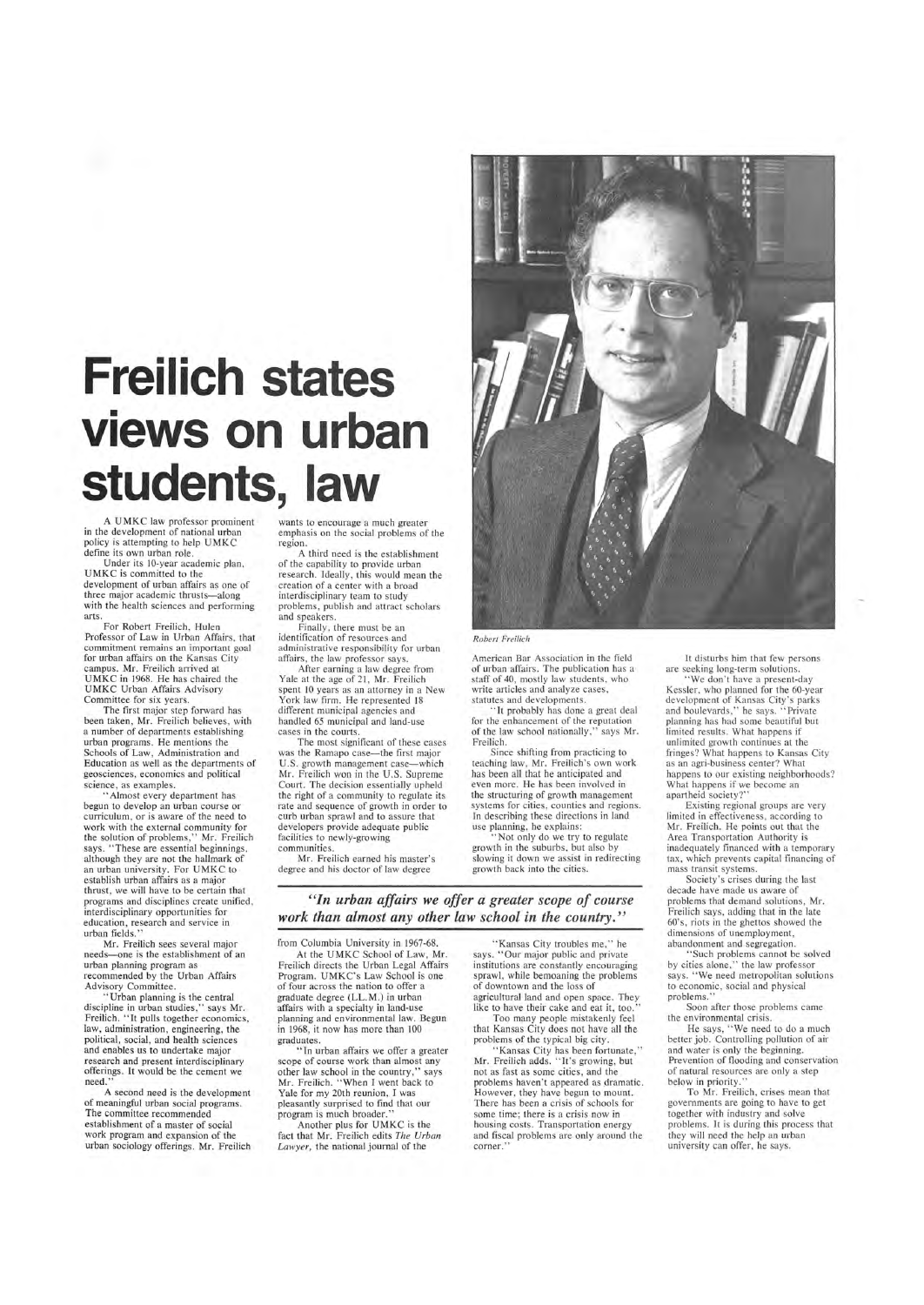# **Freilich states views on urban students, law**

A UMKC law professor prominent in the development of national urban policy is attempting to help UMKC define its own urban role.

Under its lO-year academic plan, UMKC is committed to the development of urban affairs as one of three major academic thrusts-along with the health sciences and performing arts.

The first major step forward has been taken, Mr. Freilich believes, with a number of departments establishing urban programs. He mentions the Schools of Law, Administration and Education as well as the departments of geosciences, economics and political science, as examples.

For Robert Freilich, Hulen Professor of Law in Urban Affairs, that commitment remains an important goal for urban affairs on the Kansas City campus. Mr. Freilich arrived at UMKC in 1968. He has chaired the UMKC Urban Affairs Advisory Committee for six years.

wants to encourage a much greater emphasis on the social problems of the region.

A third need is the establishment of the capability to provide urban research. Ideally, this would mean the creation of a center with a broad interdisciplinary team to study problems, publish and attract scholars and speakers.

> "It probably has done a great deal for the enhancement of the reputation of the law school nationally ," says Mr. Freilich.

Finally, there must be an identification of resources and administrative responsibility for urban affairs, the law professor says.

> 'Not only do we try to regulate growth in the suburbs, but also by slowing it down we assist in redirecting growth back into the cities.

After earning a law degree from Yale at the age of 21, Mr. Freilich spent 10 years as an attorney in a New York law firm. He represented 18 different municipal agencies and handled 65 municipal and land-use cases in the courts.

Mr. Freilich sees several major needs—one is the establishment of an

The most significant of these cases was the Ramapo case-the first major U.S. growth management case-which Mr. Freilich won in the U.S. Supreme Court. The decision essentially upheld the right of a community to regulate its rate and sequence of growth in order to curb urban sprawl and to assure that developers provide adequate public facilities to newly-growing communities.

Mr. Freilich earned his master's degree and his doctor of law degree



#### *Robert Freilich*

American Bar Association in the field of urban affairs. The publication has a staff of 40, mostly law students, who write articles and analyze cases, statutes and developments.

Since shifting from practicing to teaching law, Mr. Freilich's own work has been all that he anticipated and even more. He has been involved in the structuring of growth management systems for cities, counties and regions. In describing these directions in land use planning, he explains:

"Kansas City has been fortunate," Mr. Freilich adds. "It's growing, but not as fast as some cities, and the problems haven 't appeared as dramatic. However, they have begun to mount. There has been a crisis of schools for some time; there is a crisis now in housing costs. Transportation energy and fiscal problems are only around the corner."

'We don't have a present-day Kessler, who planned for the 60-year development of Kansas City's parks and boulevards," he says. "Private planning has had some beautiful but limited results. What happens if unlimited growth continues at the fringes? What happens to Kansas City as an agri-business center? What happens to our existing neighborhoods? What happens if we become an apartheid society?"

.• Almost every department has begun to develop an urban course or curriculum, or is aware of the need to work with the external community for the solution of problems," Mr. Freilich says. " These are essential beginnings, although they are not the hallmark of an urban university. For UMKC to establish urban affairs as a major thrust, we will have to be certain that programs and disciplines create unified, interdisciplinary opportunities for education, research and service in urban fields."

> by cities alone," the law professor says. "We need metropolitan solutions to economic, social and physical problems."

*"In urban affairs we offer a greater scope of course work than almost any other law school in the country."* 

urban planning program as recommended by the Urban Affairs Advisory Committee.

"Urban planning is the central discipline in urban studies," says Mr. Freilich. "It pulls together economics, law, administration, engineering, the political, social, and health sciences and enables us to undertake major research and present interdisciplinary offerings. It would be the cement we need."

A second need is the development of meaningful urban social programs. The committee recommended establishment of a master of social work program and expansion of the urban sociology offerings. Mr. Freilich from Columbia University in 1967-68. At the UMKC School of Law, Mr.

"Kansas City troubles me," he says. "Our major public and private institutions are constantly encouraging sprawl, while bemoaning the problems of downtown and the loss of agricultural land and open space. They like to have their cake and eat it, too.

Freilich directs the Urban Legal Affairs Program. UMKC's Law School is one of four across the nation to offer a graduate degree (LL.M.) in urban affairs with a specialty in land-use planning and environmental law. Begun in 1968, it now has more than 100 graduates.

"In urban affairs we offer a greater scope of course work than almost any other law school in the country," says Mr. Freilich. "When I went back to Yale for my 20th reunion, I was pleasantly surprised to find that our program is much broader."

Another plus for UMKC is the fact that Mr. Freilich edits *The Urban Lawyer,* the national journal of the

Too many people mistakenly feel that Kansas City does not have all the problems of the typical big city.

It disturbs him that few persons are seeking long-term solutions.

Existing regional groups are very limited in effectiveness, according to Mr. Freilich. He points out that the Area Transportation Authority is inadequately financed with a temporary tax, which prevents capital financing of mass transit systems.

Society's crises during the last decade have made us aware of problems that demand solutions, Mr. Freilich says, adding that in the late 60's, riots in the ghettos showed the dimensions of unemployment, abandonment and segregation.

'Such problems cannot be solved

Soon after those problems came the environmental crisis.

He says, "We need to do a much better job. Controlling pollution of air and water is only the beginning. Prevention of flooding and conservation of natural resources are only a step below in priority."

To Mr. Freilich, crises mean that governments are going to have to get together with industry and solve problems. It is during this process that they will need the help an urban university can offer, he says.